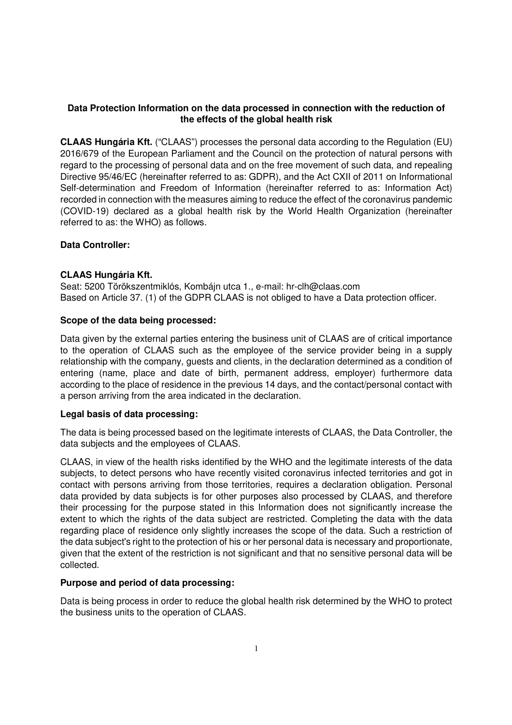# **Data Protection Information on the data processed in connection with the reduction of the effects of the global health risk**

**CLAAS Hungária Kft.** ("CLAAS") processes the personal data according to the Regulation (EU) 2016/679 of the European Parliament and the Council on the protection of natural persons with regard to the processing of personal data and on the free movement of such data, and repealing Directive 95/46/EC (hereinafter referred to as: GDPR), and the Act CXII of 2011 on Informational Self-determination and Freedom of Information (hereinafter referred to as: Information Act) recorded in connection with the measures aiming to reduce the effect of the coronavirus pandemic (COVID-19) declared as a global health risk by the World Health Organization (hereinafter referred to as: the WHO) as follows.

### **Data Controller:**

### **CLAAS Hungária Kft.**

Seat: 5200 Törökszentmiklós, Kombájn utca 1., e-mail: hr-clh@claas.com Based on Article 37. (1) of the GDPR CLAAS is not obliged to have a Data protection officer.

### **Scope of the data being processed:**

Data given by the external parties entering the business unit of CLAAS are of critical importance to the operation of CLAAS such as the employee of the service provider being in a supply relationship with the company, guests and clients, in the declaration determined as a condition of entering (name, place and date of birth, permanent address, employer) furthermore data according to the place of residence in the previous 14 days, and the contact/personal contact with a person arriving from the area indicated in the declaration.

#### **Legal basis of data processing:**

The data is being processed based on the legitimate interests of CLAAS, the Data Controller, the data subjects and the employees of CLAAS.

CLAAS, in view of the health risks identified by the WHO and the legitimate interests of the data subjects, to detect persons who have recently visited coronavirus infected territories and got in contact with persons arriving from those territories, requires a declaration obligation. Personal data provided by data subjects is for other purposes also processed by CLAAS, and therefore their processing for the purpose stated in this Information does not significantly increase the extent to which the rights of the data subject are restricted. Completing the data with the data regarding place of residence only slightly increases the scope of the data. Such a restriction of the data subject's right to the protection of his or her personal data is necessary and proportionate, given that the extent of the restriction is not significant and that no sensitive personal data will be collected.

#### **Purpose and period of data processing:**

Data is being process in order to reduce the global health risk determined by the WHO to protect the business units to the operation of CLAAS.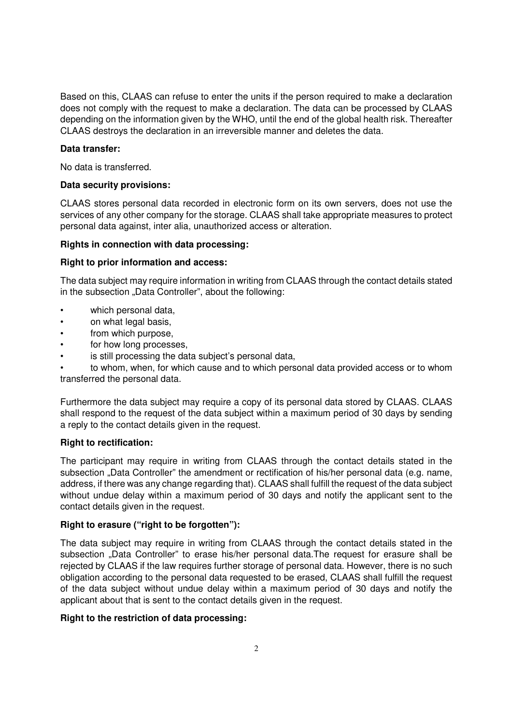Based on this, CLAAS can refuse to enter the units if the person required to make a declaration does not comply with the request to make a declaration. The data can be processed by CLAAS depending on the information given by the WHO, until the end of the global health risk. Thereafter CLAAS destroys the declaration in an irreversible manner and deletes the data.

#### **Data transfer:**

No data is transferred.

### **Data security provisions:**

CLAAS stores personal data recorded in electronic form on its own servers, does not use the services of any other company for the storage. CLAAS shall take appropriate measures to protect personal data against, inter alia, unauthorized access or alteration.

### **Rights in connection with data processing:**

### **Right to prior information and access:**

The data subject may require information in writing from CLAAS through the contact details stated in the subsection "Data Controller", about the following:

- which personal data,
- on what legal basis,
- from which purpose,
- for how long processes,
- is still processing the data subject's personal data,

• to whom, when, for which cause and to which personal data provided access or to whom transferred the personal data.

Furthermore the data subject may require a copy of its personal data stored by CLAAS. CLAAS shall respond to the request of the data subject within a maximum period of 30 days by sending a reply to the contact details given in the request.

# **Right to rectification:**

The participant may require in writing from CLAAS through the contact details stated in the subsection "Data Controller" the amendment or rectification of his/her personal data (e.g. name, address, if there was any change regarding that). CLAAS shall fulfill the request of the data subject without undue delay within a maximum period of 30 days and notify the applicant sent to the contact details given in the request.

# **Right to erasure ("right to be forgotten"):**

The data subject may require in writing from CLAAS through the contact details stated in the subsection "Data Controller" to erase his/her personal data.The request for erasure shall be rejected by CLAAS if the law requires further storage of personal data. However, there is no such obligation according to the personal data requested to be erased, CLAAS shall fulfill the request of the data subject without undue delay within a maximum period of 30 days and notify the applicant about that is sent to the contact details given in the request.

# **Right to the restriction of data processing:**